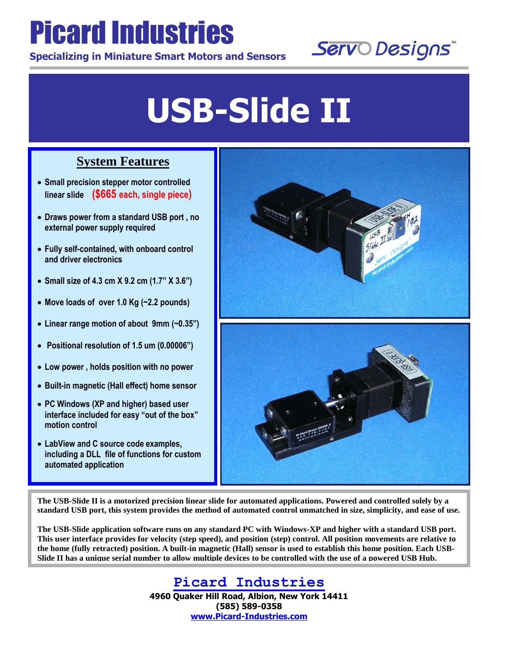## Picard Industries

**Specializing in Miniature Smart Motors and Sensors**



## **USB-Slide II**

## **System Features**

 **Small precision stepper motor controlled linear slide (\$665 each, single piece)**

L

L

- **Draws power from a standard USB port , no external power supply required**
- **Fully self-contained, with onboard control and driver electronics**
- **Small size of 4.3 cm X 9.2 cm (1.7" X 3.6")**
- **Move loads of over 1.0 Kg (~2.2 pounds)**
- **Linear range motion of about 9mm (~0.35")**
- **Positional resolution of 1.5 um (0.00006")**
- **Low power , holds position with no power**
- **Built-in magnetic (Hall effect) home sensor**
- **PC Windows (XP and higher) based user interface included for easy "out of the box" motion control**
- **LabView and C source code examples, including a DLL file of functions for custom automated application**



**The USB-Slide II is a motorized precision linear slide for automated applications. Powered and controlled solely by a standard USB port, this system provides the method of automated control unmatched in size, simplicity, and ease of use.**

**The USB-Slide application software runs on any standard PC with Windows-XP and higher with a standard USB port. This user interface provides for velocity (step speed), and position (step) control. All position movements are relative to the home (fully retracted) position. A built-in magnetic (Hall) sensor is used to establish this home position. Each USB-Slide II has a unique serial number to allow multiple devices to be controlled with the use of a powered USB Hub.**

> **Picard Industries 4960 Quaker Hill Road, Albion, New York 14411 (585) 589-0358 [www.Picard-Industries.com](http://www.picard-industries.com/)**